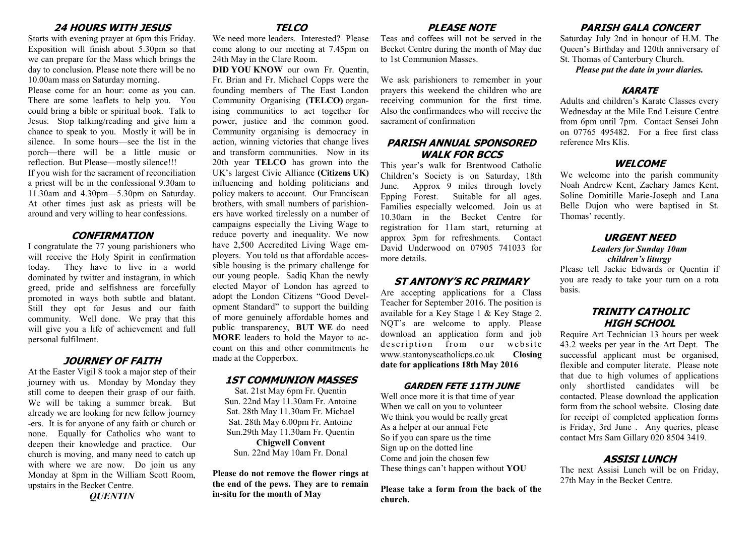## **24 HOURS WITH JESUS**

Starts with evening prayer at 6pm this Friday. Exposition will finish about 5.30pm so that we can prepare for the Mass which brings the day to conclusion. Please note there will be no 10.00am mass on Saturday morning.

Please come for an hour: come as you can. There are some leaflets to help you. You could bring a bible or spiritual book. Talk to Jesus. Stop talking/reading and give him a chance to speak to you. Mostly it will be in silence. In some hours—see the list in the porch—there will be a little music or reflection. But Please—mostly silence!!! If you wish for the sacrament of reconciliation a priest will be in the confessional 9.30am to 11.30am and 4.30pm—5.30pm on Saturday. At other times just ask as priests will be around and very willing to hear confessions.

#### **CONFIRMATION**

I congratulate the 77 young parishioners who will receive the Holy Spirit in confirmation today. They have to live in a world dominated by twitter and instagram, in which greed, pride and selfishness are forcefully promoted in ways both subtle and blatant. Still they opt for Jesus and our faith community. Well done. We pray that this will give you a life of achievement and full personal fulfilment.

#### **JOURNEY OF FAITH**

At the Easter Vigil 8 took a major step of their journey with us. Monday by Monday they still come to deepen their grasp of our faith. We will be taking a summer break. But already we are looking for new fellow journey -ers. It is for anyone of any faith or church or none. Equally for Catholics who want to deepen their knowledge and practice. Our church is moving, and many need to catch up with where we are now. Do join us any Monday at 8pm in the William Scott Room, upstairs in the Becket Centre.

*QUENTIN*

# **TELCO**

We need more leaders. Interested? Please come along to our meeting at 7.45pm on 24th May in the Clare Room.

**DID YOU KNOW** our own Fr. Quentin, Fr. Brian and Fr. Michael Copps were the founding members of The East London Community Organising **(TELCO)** organising communities to act together for power, justice and the common good. Community organising is democracy in action, winning victories that change lives and transform communities. Now in its 20th year **TELCO** has grown into the UK's largest Civic Alliance **(Citizens UK)**  influencing and holding politicians and policy makers to account. Our Franciscan brothers, with small numbers of parishioners have worked tirelessly on a number of campaigns especially the Living Wage to reduce poverty and inequality. We now have 2,500 Accredited Living Wage employers. You told us that affordable accessible housing is the primary challenge for our young people. Sadiq Khan the newly elected Mayor of London has agreed to adopt the London Citizens "Good Development Standard" to support the building of more genuinely affordable homes and public transparency, **BUT WE** do need **MORE** leaders to hold the Mayor to account on this and other commitments he made at the Copperbox.

# **1ST COMMUNION MASSES**

Sat. 21st May 6pm Fr. Quentin Sun. 22nd May 11.30am Fr. Antoine Sat. 28th May 11.30am Fr. Michael Sat. 28th May 6.00pm Fr. Antoine Sun.29th May 11.30am Fr. Quentin

**Chigwell Convent** Sun. 22nd May 10am Fr. Donal

**Please do not remove the flower rings at the end of the pews. They are to remain in-situ for the month of May**

# **PLEASE NOTE**

Teas and coffees will not be served in the Becket Centre during the month of May due to 1st Communion Masses.

We ask parishioners to remember in your prayers this weekend the children who are receiving communion for the first time. Also the confirmandees who will receive the sacrament of confirmation

#### **PARISH ANNUAL SPONSORED WALK FOR BCCS**

This year's walk for Brentwood Catholic Children's Society is on Saturday, 18th June. Approx 9 miles through lovely Epping Forest. Suitable for all ages. Families especially welcomed. Join us at 10.30am in the Becket Centre for registration for 11am start, returning at approx 3pm for refreshments. Contact David Underwood on 07905 741033 for more details.

#### **ST ANTONY'S RC PRIMARY**

Are accepting applications for a Class Teacher for September 2016. The position is available for a Key Stage 1 & Key Stage 2. NOT's are welcome to apply. Please download an application form and job description from our website www.stantonyscatholicps.co.uk **Closing date for applications 18th May 2016**

#### **GARDEN FETE 11TH JUNE**

Well once more it is that time of year When we call on you to volunteer We think you would be really great As a helper at our annual Fete So if you can spare us the time Sign up on the dotted line Come and join the chosen few These things can't happen without **YOU**

**Please take a form from the back of the church.**

## **PARISH GALA CONCERT**

Saturday July 2nd in honour of H.M. The Queen's Birthday and 120th anniversary of St. Thomas of Canterbury Church.

*Please put the date in your diaries.*

#### **KARATE**

Adults and children's Karate Classes every Wednesday at the Mile End Leisure Centre from 6pm until 7pm. Contact Sensei John on 07765 495482. For a free first class reference Mrs Klis.

#### **WELCOME**

We welcome into the parish community Noah Andrew Kent, Zachary James Kent, Soline Domitille Marie-Joseph and Lana Belle Dujon who were baptised in St. Thomas' recently.

#### **URGENT NEED** *Leaders for Sunday 10am*

#### *children's liturgy*

Please tell Jackie Edwards or Quentin if you are ready to take your turn on a rota basis.

#### **TRINITY CATHOLIC HIGH SCHOOL**

Require Art Technician 13 hours per week 43.2 weeks per year in the Art Dept. The successful applicant must be organised, flexible and computer literate. Please note that due to high volumes of applications only shortlisted candidates will be contacted. Please download the application form from the school website. Closing date for receipt of completed application forms is Friday, 3rd June . Any queries, please contact Mrs Sam Gillary 020 8504 3419.

#### **ASSISI LUNCH**

The next Assisi Lunch will be on Friday, 27th May in the Becket Centre.